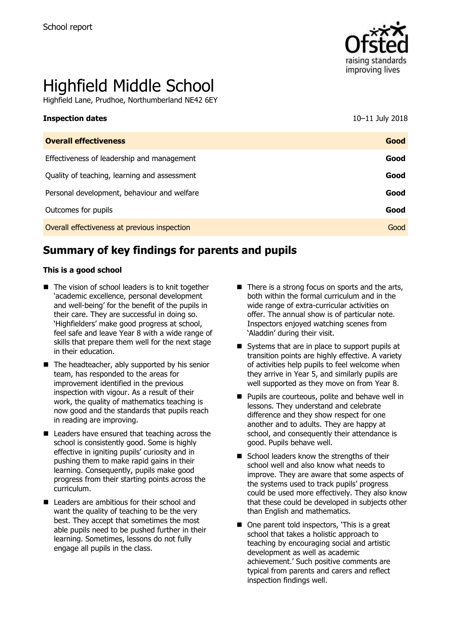

# Highfield Middle School

Highfield Lane, Prudhoe, Northumberland NE42 6EY

| <b>Overall effectiveness</b>                 | Good |
|----------------------------------------------|------|
| Effectiveness of leadership and management   | Good |
| Quality of teaching, learning and assessment | Good |
| Personal development, behaviour and welfare  | Good |
| Outcomes for pupils                          | Good |
| Overall effectiveness at previous inspection | Good |

# **Summary of key findings for parents and pupils**

#### **This is a good school**

- The vision of school leaders is to knit together 'academic excellence, personal development and well-being' for the benefit of the pupils in their care. They are successful in doing so. 'Highfielders' make good progress at school, feel safe and leave Year 8 with a wide range of skills that prepare them well for the next stage in their education.
- $\blacksquare$  The headteacher, ably supported by his senior team, has responded to the areas for improvement identified in the previous inspection with vigour. As a result of their work, the quality of mathematics teaching is now good and the standards that pupils reach in reading are improving.
- Leaders have ensured that teaching across the school is consistently good. Some is highly effective in igniting pupils' curiosity and in pushing them to make rapid gains in their learning. Consequently, pupils make good progress from their starting points across the curriculum.
- Leaders are ambitious for their school and want the quality of teaching to be the very best. They accept that sometimes the most able pupils need to be pushed further in their learning. Sometimes, lessons do not fully engage all pupils in the class.
- $\blacksquare$  There is a strong focus on sports and the arts, both within the formal curriculum and in the wide range of extra-curricular activities on offer. The annual show is of particular note. Inspectors enjoyed watching scenes from 'Aladdin' during their visit.
- Systems that are in place to support pupils at transition points are highly effective. A variety of activities help pupils to feel welcome when they arrive in Year 5, and similarly pupils are well supported as they move on from Year 8.
- **Pupils are courteous, polite and behave well in** lessons. They understand and celebrate difference and they show respect for one another and to adults. They are happy at school, and consequently their attendance is good. Pupils behave well.
- School leaders know the strengths of their school well and also know what needs to improve. They are aware that some aspects of the systems used to track pupils' progress could be used more effectively. They also know that these could be developed in subjects other than English and mathematics.
- One parent told inspectors, 'This is a great school that takes a holistic approach to teaching by encouraging social and artistic development as well as academic achievement.' Such positive comments are typical from parents and carers and reflect inspection findings well.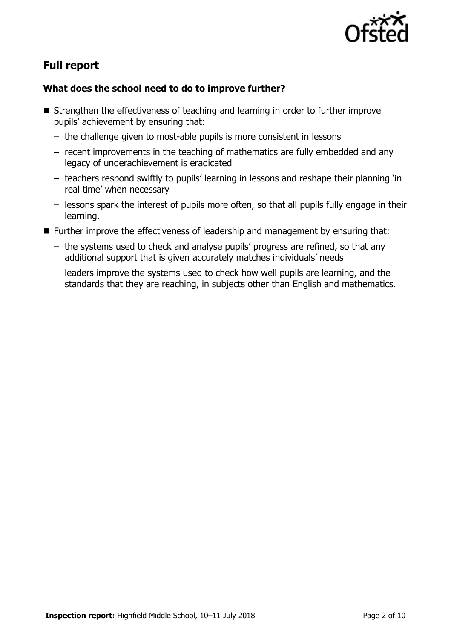

# **Full report**

### **What does the school need to do to improve further?**

- Strengthen the effectiveness of teaching and learning in order to further improve pupils' achievement by ensuring that:
	- the challenge given to most-able pupils is more consistent in lessons
	- recent improvements in the teaching of mathematics are fully embedded and any legacy of underachievement is eradicated
	- teachers respond swiftly to pupils' learning in lessons and reshape their planning 'in real time' when necessary
	- lessons spark the interest of pupils more often, so that all pupils fully engage in their learning.
- Further improve the effectiveness of leadership and management by ensuring that:
	- the systems used to check and analyse pupils' progress are refined, so that any additional support that is given accurately matches individuals' needs
	- leaders improve the systems used to check how well pupils are learning, and the standards that they are reaching, in subjects other than English and mathematics.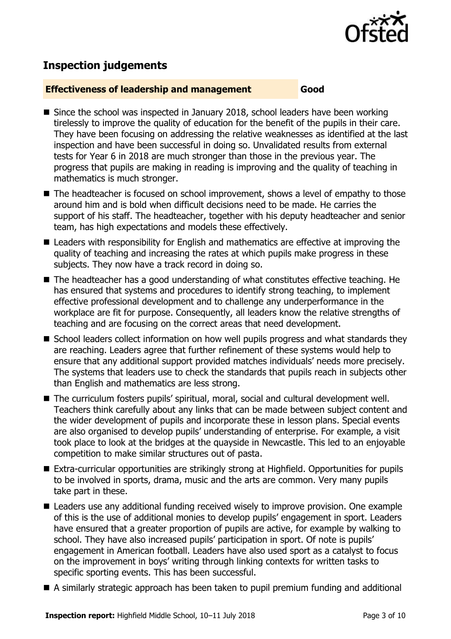

# **Inspection judgements**

#### **Effectiveness of leadership and management Good**

- Since the school was inspected in January 2018, school leaders have been working tirelessly to improve the quality of education for the benefit of the pupils in their care. They have been focusing on addressing the relative weaknesses as identified at the last inspection and have been successful in doing so. Unvalidated results from external tests for Year 6 in 2018 are much stronger than those in the previous year. The progress that pupils are making in reading is improving and the quality of teaching in mathematics is much stronger.
- The headteacher is focused on school improvement, shows a level of empathy to those around him and is bold when difficult decisions need to be made. He carries the support of his staff. The headteacher, together with his deputy headteacher and senior team, has high expectations and models these effectively.
- Leaders with responsibility for English and mathematics are effective at improving the quality of teaching and increasing the rates at which pupils make progress in these subjects. They now have a track record in doing so.
- The headteacher has a good understanding of what constitutes effective teaching. He has ensured that systems and procedures to identify strong teaching, to implement effective professional development and to challenge any underperformance in the workplace are fit for purpose. Consequently, all leaders know the relative strengths of teaching and are focusing on the correct areas that need development.
- School leaders collect information on how well pupils progress and what standards they are reaching. Leaders agree that further refinement of these systems would help to ensure that any additional support provided matches individuals' needs more precisely. The systems that leaders use to check the standards that pupils reach in subjects other than English and mathematics are less strong.
- The curriculum fosters pupils' spiritual, moral, social and cultural development well. Teachers think carefully about any links that can be made between subject content and the wider development of pupils and incorporate these in lesson plans. Special events are also organised to develop pupils' understanding of enterprise. For example, a visit took place to look at the bridges at the quayside in Newcastle. This led to an enjoyable competition to make similar structures out of pasta.
- Extra-curricular opportunities are strikingly strong at Highfield. Opportunities for pupils to be involved in sports, drama, music and the arts are common. Very many pupils take part in these.
- Leaders use any additional funding received wisely to improve provision. One example of this is the use of additional monies to develop pupils' engagement in sport. Leaders have ensured that a greater proportion of pupils are active, for example by walking to school. They have also increased pupils' participation in sport. Of note is pupils' engagement in American football. Leaders have also used sport as a catalyst to focus on the improvement in boys' writing through linking contexts for written tasks to specific sporting events. This has been successful.
- A similarly strategic approach has been taken to pupil premium funding and additional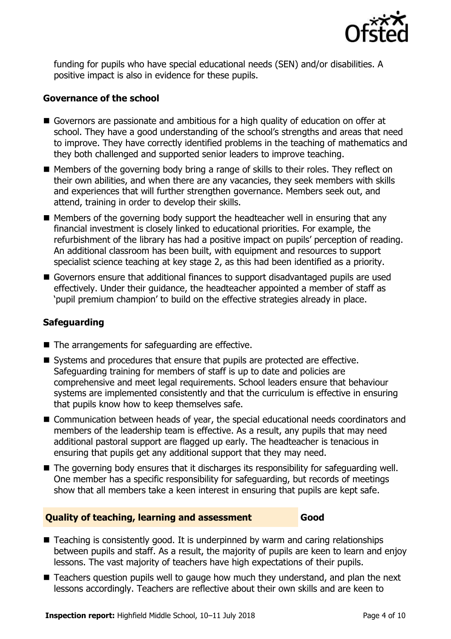

funding for pupils who have special educational needs (SEN) and/or disabilities. A positive impact is also in evidence for these pupils.

#### **Governance of the school**

- Governors are passionate and ambitious for a high quality of education on offer at school. They have a good understanding of the school's strengths and areas that need to improve. They have correctly identified problems in the teaching of mathematics and they both challenged and supported senior leaders to improve teaching.
- Members of the governing body bring a range of skills to their roles. They reflect on their own abilities, and when there are any vacancies, they seek members with skills and experiences that will further strengthen governance. Members seek out, and attend, training in order to develop their skills.
- $\blacksquare$  Members of the governing body support the headteacher well in ensuring that any financial investment is closely linked to educational priorities. For example, the refurbishment of the library has had a positive impact on pupils' perception of reading. An additional classroom has been built, with equipment and resources to support specialist science teaching at key stage 2, as this had been identified as a priority.
- Governors ensure that additional finances to support disadvantaged pupils are used effectively. Under their guidance, the headteacher appointed a member of staff as 'pupil premium champion' to build on the effective strategies already in place.

#### **Safeguarding**

- $\blacksquare$  The arrangements for safeguarding are effective.
- Systems and procedures that ensure that pupils are protected are effective. Safeguarding training for members of staff is up to date and policies are comprehensive and meet legal requirements. School leaders ensure that behaviour systems are implemented consistently and that the curriculum is effective in ensuring that pupils know how to keep themselves safe.
- Communication between heads of year, the special educational needs coordinators and members of the leadership team is effective. As a result, any pupils that may need additional pastoral support are flagged up early. The headteacher is tenacious in ensuring that pupils get any additional support that they may need.
- The governing body ensures that it discharges its responsibility for safeguarding well. One member has a specific responsibility for safeguarding, but records of meetings show that all members take a keen interest in ensuring that pupils are kept safe.

#### **Quality of teaching, learning and assessment Good**

- Teaching is consistently good. It is underpinned by warm and caring relationships between pupils and staff. As a result, the majority of pupils are keen to learn and enjoy lessons. The vast majority of teachers have high expectations of their pupils.
- Teachers question pupils well to gauge how much they understand, and plan the next lessons accordingly. Teachers are reflective about their own skills and are keen to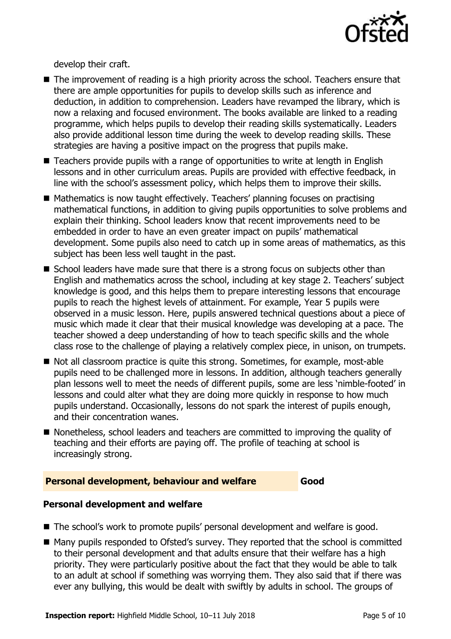

develop their craft.

- The improvement of reading is a high priority across the school. Teachers ensure that there are ample opportunities for pupils to develop skills such as inference and deduction, in addition to comprehension. Leaders have revamped the library, which is now a relaxing and focused environment. The books available are linked to a reading programme, which helps pupils to develop their reading skills systematically. Leaders also provide additional lesson time during the week to develop reading skills. These strategies are having a positive impact on the progress that pupils make.
- Teachers provide pupils with a range of opportunities to write at length in English lessons and in other curriculum areas. Pupils are provided with effective feedback, in line with the school's assessment policy, which helps them to improve their skills.
- Mathematics is now taught effectively. Teachers' planning focuses on practising mathematical functions, in addition to giving pupils opportunities to solve problems and explain their thinking. School leaders know that recent improvements need to be embedded in order to have an even greater impact on pupils' mathematical development. Some pupils also need to catch up in some areas of mathematics, as this subject has been less well taught in the past.
- School leaders have made sure that there is a strong focus on subjects other than English and mathematics across the school, including at key stage 2. Teachers' subject knowledge is good, and this helps them to prepare interesting lessons that encourage pupils to reach the highest levels of attainment. For example, Year 5 pupils were observed in a music lesson. Here, pupils answered technical questions about a piece of music which made it clear that their musical knowledge was developing at a pace. The teacher showed a deep understanding of how to teach specific skills and the whole class rose to the challenge of playing a relatively complex piece, in unison, on trumpets.
- Not all classroom practice is quite this strong. Sometimes, for example, most-able pupils need to be challenged more in lessons. In addition, although teachers generally plan lessons well to meet the needs of different pupils, some are less 'nimble-footed' in lessons and could alter what they are doing more quickly in response to how much pupils understand. Occasionally, lessons do not spark the interest of pupils enough, and their concentration wanes.
- Nonetheless, school leaders and teachers are committed to improving the quality of teaching and their efforts are paying off. The profile of teaching at school is increasingly strong.

#### **Personal development, behaviour and welfare Good**

#### **Personal development and welfare**

- The school's work to promote pupils' personal development and welfare is good.
- Many pupils responded to Ofsted's survey. They reported that the school is committed to their personal development and that adults ensure that their welfare has a high priority. They were particularly positive about the fact that they would be able to talk to an adult at school if something was worrying them. They also said that if there was ever any bullying, this would be dealt with swiftly by adults in school. The groups of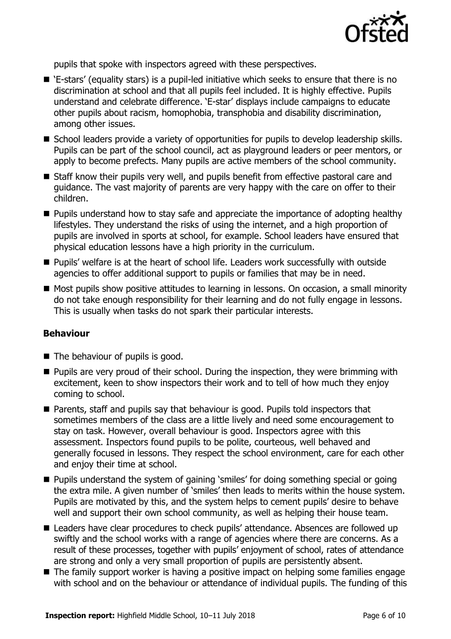

pupils that spoke with inspectors agreed with these perspectives.

- 'E-stars' (equality stars) is a pupil-led initiative which seeks to ensure that there is no discrimination at school and that all pupils feel included. It is highly effective. Pupils understand and celebrate difference. 'E-star' displays include campaigns to educate other pupils about racism, homophobia, transphobia and disability discrimination, among other issues.
- School leaders provide a variety of opportunities for pupils to develop leadership skills. Pupils can be part of the school council, act as playground leaders or peer mentors, or apply to become prefects. Many pupils are active members of the school community.
- Staff know their pupils very well, and pupils benefit from effective pastoral care and guidance. The vast majority of parents are very happy with the care on offer to their children.
- **Pupils understand how to stay safe and appreciate the importance of adopting healthy** lifestyles. They understand the risks of using the internet, and a high proportion of pupils are involved in sports at school, for example. School leaders have ensured that physical education lessons have a high priority in the curriculum.
- Pupils' welfare is at the heart of school life. Leaders work successfully with outside agencies to offer additional support to pupils or families that may be in need.
- Most pupils show positive attitudes to learning in lessons. On occasion, a small minority do not take enough responsibility for their learning and do not fully engage in lessons. This is usually when tasks do not spark their particular interests.

#### **Behaviour**

- The behaviour of pupils is good.
- $\blacksquare$  Pupils are very proud of their school. During the inspection, they were brimming with excitement, keen to show inspectors their work and to tell of how much they enjoy coming to school.
- Parents, staff and pupils say that behaviour is good. Pupils told inspectors that sometimes members of the class are a little lively and need some encouragement to stay on task. However, overall behaviour is good. Inspectors agree with this assessment. Inspectors found pupils to be polite, courteous, well behaved and generally focused in lessons. They respect the school environment, care for each other and enjoy their time at school.
- Pupils understand the system of gaining 'smiles' for doing something special or going the extra mile. A given number of 'smiles' then leads to merits within the house system. Pupils are motivated by this, and the system helps to cement pupils' desire to behave well and support their own school community, as well as helping their house team.
- Leaders have clear procedures to check pupils' attendance. Absences are followed up swiftly and the school works with a range of agencies where there are concerns. As a result of these processes, together with pupils' enjoyment of school, rates of attendance are strong and only a very small proportion of pupils are persistently absent.
- The family support worker is having a positive impact on helping some families engage with school and on the behaviour or attendance of individual pupils. The funding of this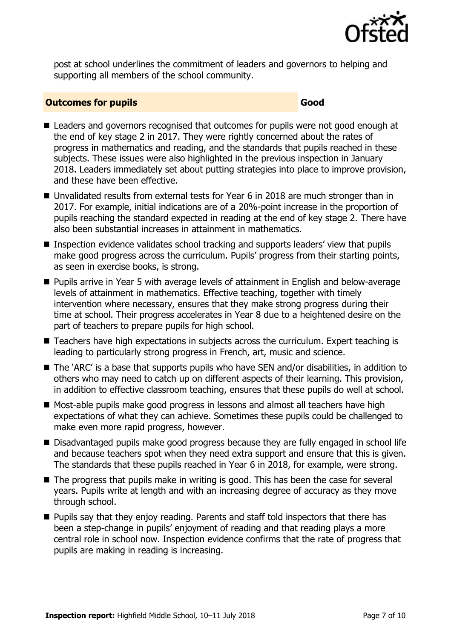

post at school underlines the commitment of leaders and governors to helping and supporting all members of the school community.

#### **Outcomes for pupils Good**

- Leaders and governors recognised that outcomes for pupils were not good enough at the end of key stage 2 in 2017. They were rightly concerned about the rates of progress in mathematics and reading, and the standards that pupils reached in these subjects. These issues were also highlighted in the previous inspection in January 2018. Leaders immediately set about putting strategies into place to improve provision, and these have been effective.
- Unvalidated results from external tests for Year 6 in 2018 are much stronger than in 2017. For example, initial indications are of a 20%-point increase in the proportion of pupils reaching the standard expected in reading at the end of key stage 2. There have also been substantial increases in attainment in mathematics.
- Inspection evidence validates school tracking and supports leaders' view that pupils make good progress across the curriculum. Pupils' progress from their starting points, as seen in exercise books, is strong.
- Pupils arrive in Year 5 with average levels of attainment in English and below-average levels of attainment in mathematics. Effective teaching, together with timely intervention where necessary, ensures that they make strong progress during their time at school. Their progress accelerates in Year 8 due to a heightened desire on the part of teachers to prepare pupils for high school.
- Teachers have high expectations in subjects across the curriculum. Expert teaching is leading to particularly strong progress in French, art, music and science.
- The 'ARC' is a base that supports pupils who have SEN and/or disabilities, in addition to others who may need to catch up on different aspects of their learning. This provision, in addition to effective classroom teaching, ensures that these pupils do well at school.
- Most-able pupils make good progress in lessons and almost all teachers have high expectations of what they can achieve. Sometimes these pupils could be challenged to make even more rapid progress, however.
- Disadvantaged pupils make good progress because they are fully engaged in school life and because teachers spot when they need extra support and ensure that this is given. The standards that these pupils reached in Year 6 in 2018, for example, were strong.
- The progress that pupils make in writing is good. This has been the case for several years. Pupils write at length and with an increasing degree of accuracy as they move through school.
- $\blacksquare$  Pupils say that they enjoy reading. Parents and staff told inspectors that there has been a step-change in pupils' enjoyment of reading and that reading plays a more central role in school now. Inspection evidence confirms that the rate of progress that pupils are making in reading is increasing.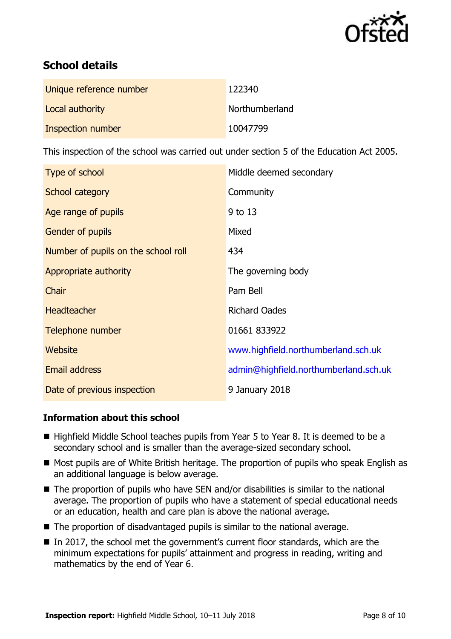

# **School details**

| Unique reference number | 122340         |
|-------------------------|----------------|
| Local authority         | Northumberland |
| Inspection number       | 10047799       |

This inspection of the school was carried out under section 5 of the Education Act 2005.

| Type of school                      | Middle deemed secondary               |
|-------------------------------------|---------------------------------------|
| School category                     | Community                             |
| Age range of pupils                 | 9 to 13                               |
| Gender of pupils                    | Mixed                                 |
| Number of pupils on the school roll | 434                                   |
| Appropriate authority               | The governing body                    |
| Chair                               | Pam Bell                              |
| <b>Headteacher</b>                  | <b>Richard Oades</b>                  |
| Telephone number                    | 01661 833922                          |
| <b>Website</b>                      | www.highfield.northumberland.sch.uk   |
| Email address                       | admin@highfield.northumberland.sch.uk |
| Date of previous inspection         | 9 January 2018                        |

#### **Information about this school**

- Highfield Middle School teaches pupils from Year 5 to Year 8. It is deemed to be a secondary school and is smaller than the average-sized secondary school.
- Most pupils are of White British heritage. The proportion of pupils who speak English as an additional language is below average.
- The proportion of pupils who have SEN and/or disabilities is similar to the national average. The proportion of pupils who have a statement of special educational needs or an education, health and care plan is above the national average.
- $\blacksquare$  The proportion of disadvantaged pupils is similar to the national average.
- In 2017, the school met the government's current floor standards, which are the minimum expectations for pupils' attainment and progress in reading, writing and mathematics by the end of Year 6.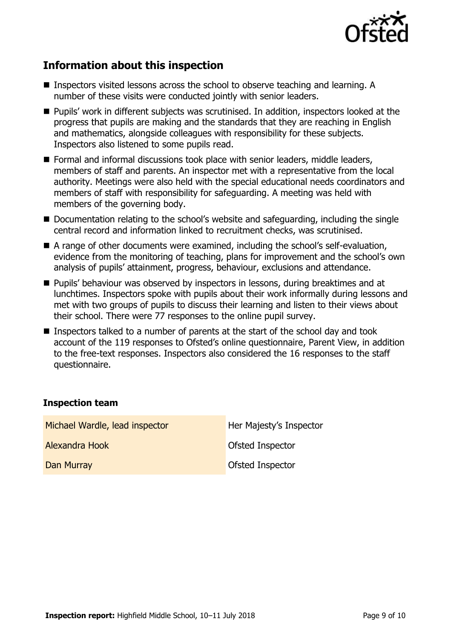

# **Information about this inspection**

- Inspectors visited lessons across the school to observe teaching and learning. A number of these visits were conducted jointly with senior leaders.
- **Pupils'** work in different subjects was scrutinised. In addition, inspectors looked at the progress that pupils are making and the standards that they are reaching in English and mathematics, alongside colleagues with responsibility for these subjects. Inspectors also listened to some pupils read.
- Formal and informal discussions took place with senior leaders, middle leaders, members of staff and parents. An inspector met with a representative from the local authority. Meetings were also held with the special educational needs coordinators and members of staff with responsibility for safeguarding. A meeting was held with members of the governing body.
- Documentation relating to the school's website and safeguarding, including the single central record and information linked to recruitment checks, was scrutinised.
- A range of other documents were examined, including the school's self-evaluation, evidence from the monitoring of teaching, plans for improvement and the school's own analysis of pupils' attainment, progress, behaviour, exclusions and attendance.
- **Pupils' behaviour was observed by inspectors in lessons, during breaktimes and at** lunchtimes. Inspectors spoke with pupils about their work informally during lessons and met with two groups of pupils to discuss their learning and listen to their views about their school. There were 77 responses to the online pupil survey.
- Inspectors talked to a number of parents at the start of the school day and took account of the 119 responses to Ofsted's online questionnaire, Parent View, in addition to the free-text responses. Inspectors also considered the 16 responses to the staff questionnaire.

#### **Inspection team**

| Michael Wardle, lead inspector | Her Majesty's Inspector |
|--------------------------------|-------------------------|
| Alexandra Hook                 | Ofsted Inspector        |
| Dan Murray                     | Ofsted Inspector        |